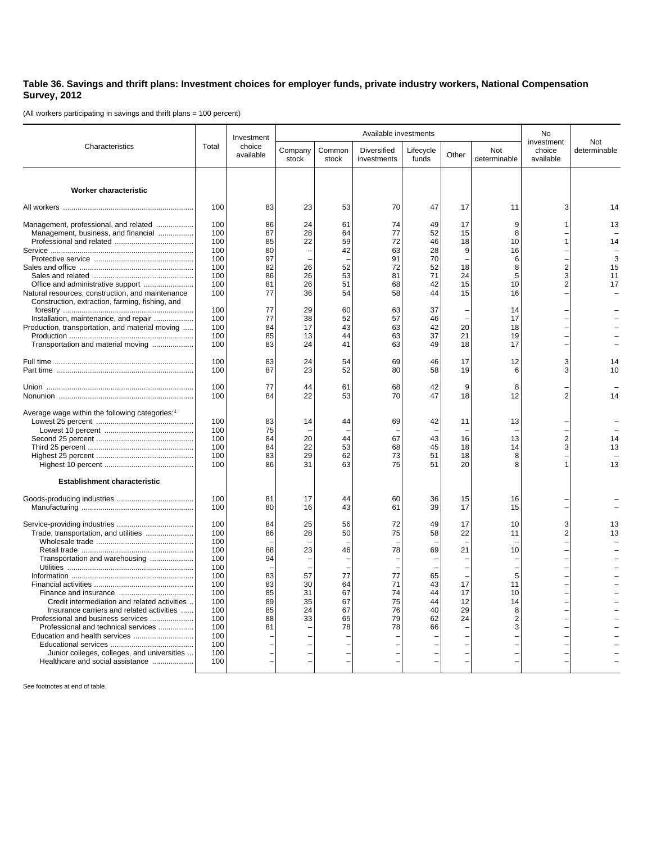## **Table 36. Savings and thrift plans: Investment choices for employer funds, private industry workers, National Compensation Survey, 2012**

(All workers participating in savings and thrift plans = 100 percent)

|                                                                                                                                   | Total                    | Investment<br>choice<br>available | Available investments |                      |                            |                      |                |                           | No                                |                     |
|-----------------------------------------------------------------------------------------------------------------------------------|--------------------------|-----------------------------------|-----------------------|----------------------|----------------------------|----------------------|----------------|---------------------------|-----------------------------------|---------------------|
| Characteristics                                                                                                                   |                          |                                   | Company<br>stock      | Common<br>stock      | Diversified<br>investments | Lifecycle<br>funds   | Other          | Not<br>determinable       | investment<br>choice<br>available | Not<br>determinable |
| Worker characteristic                                                                                                             |                          |                                   |                       |                      |                            |                      |                |                           |                                   |                     |
|                                                                                                                                   | 100                      | 83                                | 23                    | 53                   | 70                         | 47                   | 17             | 11                        | 3                                 | 14                  |
| Management, professional, and related<br>Management, business, and financial                                                      | 100<br>100<br>100        | 86<br>87<br>85                    | 24<br>28<br>22        | 61<br>64<br>59       | 74<br>77<br>72             | 49<br>52<br>46       | 17<br>15<br>18 | 9<br>8<br>10              | 1<br>$\mathbf{1}$                 | 13<br>14            |
|                                                                                                                                   | 100<br>100               | 80<br>97                          |                       | 42                   | 63<br>91                   | 28<br>70             | 9              | 16<br>6                   |                                   | 3                   |
|                                                                                                                                   | 100<br>100<br>100        | 82<br>86<br>81                    | 26<br>26<br>26        | 52<br>53<br>51       | 72<br>81<br>68             | 52<br>71<br>42       | 18<br>24<br>15 | 8<br>5<br>10              | $\overline{2}$<br>3<br>2          | 15<br>11<br>17      |
| Natural resources, construction, and maintenance<br>Construction, extraction, farming, fishing, and                               | 100<br>100               | 77<br>77                          | 36<br>29              | 54<br>60             | 58<br>63                   | 44<br>37             | 15             | 16<br>14                  |                                   |                     |
| Installation, maintenance, and repair<br>Production, transportation, and material moving<br>Transportation and material moving    | 100<br>100<br>100<br>100 | 77<br>84<br>85<br>83              | 38<br>17<br>13<br>24  | 52<br>43<br>44<br>41 | 57<br>63<br>63<br>63       | 46<br>42<br>37<br>49 | 20<br>21<br>18 | 17<br>18<br>19<br>17      |                                   |                     |
|                                                                                                                                   | 100<br>100               | 83<br>87                          | 24<br>23              | 54<br>52             | 69<br>80                   | 46<br>58             | 17<br>19       | 12<br>6                   | 3<br>3                            | 14<br>10            |
|                                                                                                                                   | 100<br>100               | 77<br>84                          | 44<br>22              | 61<br>53             | 68<br>70                   | 42<br>47             | 9<br>18        | 8<br>12                   | $\overline{2}$                    | 14                  |
| Average wage within the following categories:1                                                                                    | 100<br>100               | 83<br>75                          | 14                    | 44                   | 69                         | 42                   | 11             | 13                        |                                   |                     |
|                                                                                                                                   | 100<br>100<br>100        | 84<br>84<br>83                    | 20<br>22<br>29        | 44<br>53<br>62       | 67<br>68<br>73             | 43<br>45<br>51       | 16<br>18<br>18 | 13<br>14<br>8             | $\overline{2}$<br>3               | 14<br>13            |
|                                                                                                                                   | 100                      | 86                                | 31                    | 63                   | 75                         | 51                   | 20             |                           | 1                                 | 13                  |
| <b>Establishment characteristic</b>                                                                                               |                          |                                   |                       |                      |                            |                      |                |                           |                                   |                     |
|                                                                                                                                   | 100<br>100               | 81<br>80                          | 17<br>16              | 44<br>43             | 60<br>61                   | 36<br>39             | 15<br>17       | 16<br>15                  |                                   |                     |
| Trade, transportation, and utilities                                                                                              | 100<br>100<br>100        | 84<br>86                          | 25<br>28              | 56<br>50             | 72<br>75                   | 49<br>58             | 17<br>22       | 10<br>11                  | 3<br>2                            | 13<br>13            |
| Transportation and warehousing                                                                                                    | 100<br>100<br>100        | 88<br>94                          | 23                    | 46                   | 78                         | 69                   | 21             | 10                        |                                   |                     |
|                                                                                                                                   | 100<br>100<br>100        | 83<br>83<br>85                    | 57<br>30<br>31        | 77<br>64<br>67       | 77<br>71<br>74             | 65<br>43<br>44       | 17<br>17       | 5<br>11<br>10             |                                   |                     |
| Credit intermediation and related activities .<br>Insurance carriers and related activities<br>Professional and business services | 100<br>100<br>100        | 89<br>85<br>88                    | 35<br>24<br>33        | 67<br>67<br>65       | 75<br>76<br>79             | 44<br>40<br>62       | 12<br>29<br>24 | 14<br>8<br>$\overline{2}$ |                                   |                     |
| Professional and technical services                                                                                               | 100<br>100<br>100        | 81                                |                       | 78                   | 78                         | 66                   |                | 3                         |                                   |                     |
| Junior colleges, colleges, and universities<br>Healthcare and social assistance                                                   | 100<br>100               |                                   |                       |                      |                            |                      |                |                           |                                   |                     |

See footnotes at end of table.